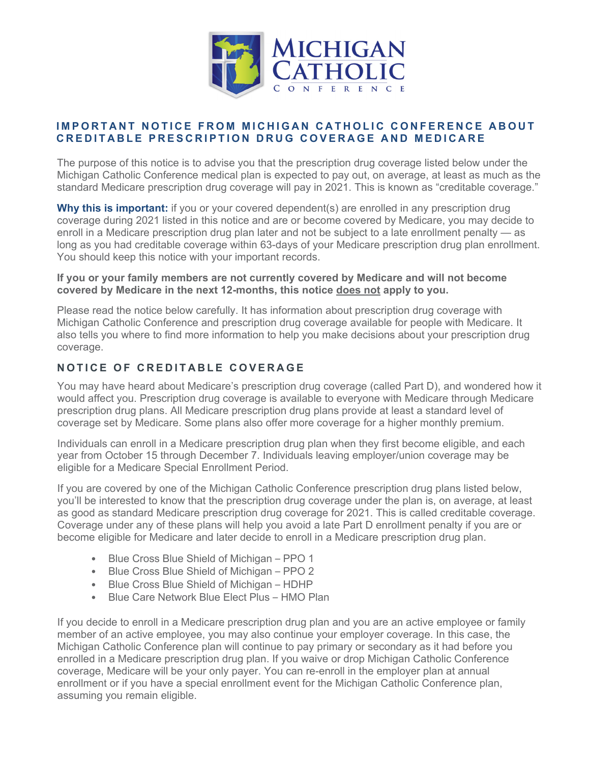

## **IMPORTANT NOTICE FROM MICHIGAN CATHOLIC CONFERENCE ABOUT CREDITABLE PRESCRIPTION DRUG COVERAGE AND MEDICARE**

The purpose of this notice is to advise you that the prescription drug coverage listed below under the Michigan Catholic Conference medical plan is expected to pay out, on average, at least as much as the standard Medicare prescription drug coverage will pay in 2021. This is known as "creditable coverage."

**Why this is important:** if you or your covered dependent(s) are enrolled in any prescription drug coverage during 2021 listed in this notice and are or become covered by Medicare, you may decide to enroll in a Medicare prescription drug plan later and not be subject to a late enrollment penalty — as long as you had creditable coverage within 63-days of your Medicare prescription drug plan enrollment. You should keep this notice with your important records.

## **If you or your family members are not currently covered by Medicare and will not become covered by Medicare in the next 12-months, this notice does not apply to you.**

Please read the notice below carefully. It has information about prescription drug coverage with Michigan Catholic Conference and prescription drug coverage available for people with Medicare. It also tells you where to find more information to help you make decisions about your prescription drug coverage.

## **NOTICE OF CREDITABLE COVERAGE**

You may have heard about Medicare's prescription drug coverage (called Part D), and wondered how it would affect you. Prescription drug coverage is available to everyone with Medicare through Medicare prescription drug plans. All Medicare prescription drug plans provide at least a standard level of coverage set by Medicare. Some plans also offer more coverage for a higher monthly premium.

Individuals can enroll in a Medicare prescription drug plan when they first become eligible, and each year from October 15 through December 7. Individuals leaving employer/union coverage may be eligible for a Medicare Special Enrollment Period.

If you are covered by one of the Michigan Catholic Conference prescription drug plans listed below, you'll be interested to know that the prescription drug coverage under the plan is, on average, at least as good as standard Medicare prescription drug coverage for 2021. This is called creditable coverage. Coverage under any of these plans will help you avoid a late Part D enrollment penalty if you are or become eligible for Medicare and later decide to enroll in a Medicare prescription drug plan.

- Blue Cross Blue Shield of Michigan PPO 1
- Blue Cross Blue Shield of Michigan PPO 2
- Blue Cross Blue Shield of Michigan HDHP
- Blue Care Network Blue Elect Plus HMO Plan

If you decide to enroll in a Medicare prescription drug plan and you are an active employee or family member of an active employee, you may also continue your employer coverage. In this case, the Michigan Catholic Conference plan will continue to pay primary or secondary as it had before you enrolled in a Medicare prescription drug plan. If you waive or drop Michigan Catholic Conference coverage, Medicare will be your only payer. You can re-enroll in the employer plan at annual enrollment or if you have a special enrollment event for the Michigan Catholic Conference plan, assuming you remain eligible.